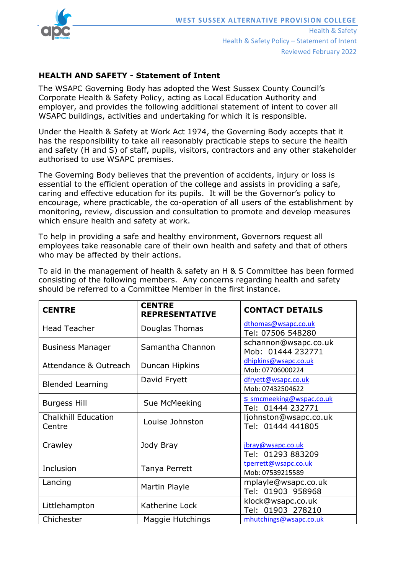

Health & Safety Health & Safety Policy – Statement of Intent Reviewed February 2022

## **HEALTH AND SAFETY - Statement of Intent**

The WSAPC Governing Body has adopted the West Sussex County Council's Corporate Health & Safety Policy, acting as Local Education Authority and employer, and provides the following additional statement of intent to cover all WSAPC buildings, activities and undertaking for which it is responsible.

Under the Health & Safety at Work Act 1974, the Governing Body accepts that it has the responsibility to take all reasonably practicable steps to secure the health and safety (H and S) of staff, pupils, visitors, contractors and any other stakeholder authorised to use WSAPC premises.

The Governing Body believes that the prevention of accidents, injury or loss is essential to the efficient operation of the college and assists in providing a safe, caring and effective education for its pupils. It will be the Governor's policy to encourage, where practicable, the co-operation of all users of the establishment by monitoring, review, discussion and consultation to promote and develop measures which ensure health and safety at work.

To help in providing a safe and healthy environment, Governors request all employees take reasonable care of their own health and safety and that of others who may be affected by their actions.

To aid in the management of health & safety an H & S Committee has been formed consisting of the following members. Any concerns regarding health and safety should be referred to a Committee Member in the first instance.

| <b>CENTRE</b>                        | <b>CENTRE</b><br><b>REPRESENTATIVE</b> | <b>CONTACT DETAILS</b>                        |
|--------------------------------------|----------------------------------------|-----------------------------------------------|
| <b>Head Teacher</b>                  | Douglas Thomas                         | dthomas@wsapc.co.uk<br>Tel: 07506 548280      |
| <b>Business Manager</b>              | Samantha Channon                       | schannon@wsapc.co.uk<br>Mob: 01444 232771     |
| Attendance & Outreach                | Duncan Hipkins                         | dhipkins@wsapc.co.uk<br>Mob: 07706000224      |
| <b>Blended Learning</b>              | David Fryett                           | dfryett@wsapc.co.uk<br>Mob: 07432504622       |
| <b>Burgess Hill</b>                  | Sue McMeeking                          | S smcmeeking@wspac.co.uk<br>Tel: 01444 232771 |
| <b>Chalkhill Education</b><br>Centre | Louise Johnston                        | ljohnston@wsapc.co.uk<br>Tel: 01444 441805    |
| Crawley                              | Jody Bray                              | jbray@wsapc.co.uk<br>Tel: 01293 883209        |
| Inclusion                            | Tanya Perrett                          | tperrett@wsapc.co.uk<br>Mob: 07539215589      |
| Lancing                              | Martin Playle                          | mplayle@wsapc.co.uk<br>Tel: 01903 958968      |
| Littlehampton                        | Katherine Lock                         | klock@wsapc.co.uk<br>Tel: 01903 278210        |
| Chichester                           | Maggie Hutchings                       | mhutchings@wsapc.co.uk                        |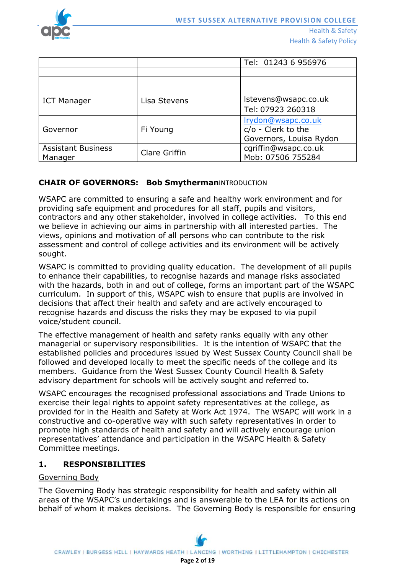

|                                      |               | Tel: 01243 6 956976                                                 |
|--------------------------------------|---------------|---------------------------------------------------------------------|
|                                      |               |                                                                     |
|                                      |               |                                                                     |
| <b>ICT Manager</b>                   | Lisa Stevens  | Istevens@wsapc.co.uk<br>Tel: 07923 260318                           |
| Governor                             | Fi Young      | Irydon@wsapc.co.uk<br>c/o - Clerk to the<br>Governors, Louisa Rydon |
| <b>Assistant Business</b><br>Manager | Clare Griffin | cgriffin@wsapc.co.uk<br>Mob: 07506 755284                           |

## **CHAIR OF GOVERNORS: Bob Smytherman**INTRODUCTION

WSAPC are committed to ensuring a safe and healthy work environment and for providing safe equipment and procedures for all staff, pupils and visitors, contractors and any other stakeholder, involved in college activities. To this end we believe in achieving our aims in partnership with all interested parties. The views, opinions and motivation of all persons who can contribute to the risk assessment and control of college activities and its environment will be actively sought.

WSAPC is committed to providing quality education. The development of all pupils to enhance their capabilities, to recognise hazards and manage risks associated with the hazards, both in and out of college, forms an important part of the WSAPC curriculum. In support of this, WSAPC wish to ensure that pupils are involved in decisions that affect their health and safety and are actively encouraged to recognise hazards and discuss the risks they may be exposed to via pupil voice/student council.

The effective management of health and safety ranks equally with any other managerial or supervisory responsibilities. It is the intention of WSAPC that the established policies and procedures issued by West Sussex County Council shall be followed and developed locally to meet the specific needs of the college and its members. Guidance from the West Sussex County Council Health & Safety advisory department for schools will be actively sought and referred to.

WSAPC encourages the recognised professional associations and Trade Unions to exercise their legal rights to appoint safety representatives at the college, as provided for in the Health and Safety at Work Act 1974. The WSAPC will work in a constructive and co-operative way with such safety representatives in order to promote high standards of health and safety and will actively encourage union representatives' attendance and participation in the WSAPC Health & Safety Committee meetings.

## **1. RESPONSIBILITIES**

## Governing Body

The Governing Body has strategic responsibility for health and safety within all areas of the WSAPC's undertakings and is answerable to the LEA for its actions on behalf of whom it makes decisions. The Governing Body is responsible for ensuring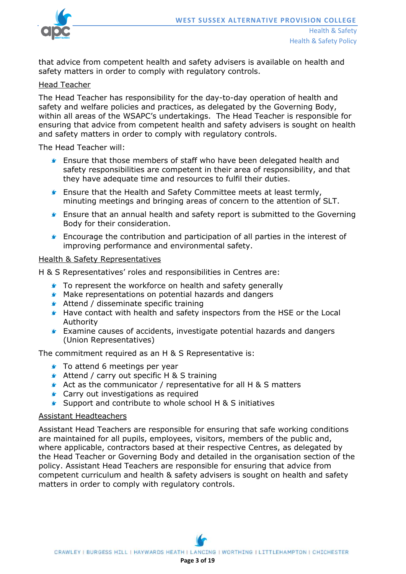

that advice from competent health and safety advisers is available on health and safety matters in order to comply with regulatory controls.

#### Head Teacher

The Head Teacher has responsibility for the day-to-day operation of health and safety and welfare policies and practices, as delegated by the Governing Body, within all areas of the WSAPC's undertakings. The Head Teacher is responsible for ensuring that advice from competent health and safety advisers is sought on health and safety matters in order to comply with regulatory controls.

The Head Teacher will:

- Ensure that those members of staff who have been delegated health and safety responsibilities are competent in their area of responsibility, and that they have adequate time and resources to fulfil their duties.
- Ensure that the Health and Safety Committee meets at least termly, minuting meetings and bringing areas of concern to the attention of SLT.
- **Ensure that an annual health and safety report is submitted to the Governing** Body for their consideration.
- Encourage the contribution and participation of all parties in the interest of improving performance and environmental safety.

#### Health & Safety Representatives

H & S Representatives' roles and responsibilities in Centres are:

- **To represent the workforce on health and safety generally**
- Make representations on potential hazards and dangers
- **Attend / disseminate specific training**
- Have contact with health and safety inspectors from the HSE or the Local Authority
- **Examine causes of accidents, investigate potential hazards and dangers** (Union Representatives)

The commitment required as an H & S Representative is:

- **To attend 6 meetings per year**
- **▲** Attend / carry out specific H & S training
- Act as the communicator / representative for all H & S matters
- **Carry out investigations as required**
- ▲ Support and contribute to whole school H & S initiatives

#### Assistant Headteachers

Assistant Head Teachers are responsible for ensuring that safe working conditions are maintained for all pupils, employees, visitors, members of the public and, where applicable, contractors based at their respective Centres, as delegated by the Head Teacher or Governing Body and detailed in the organisation section of the policy. Assistant Head Teachers are responsible for ensuring that advice from competent curriculum and health & safety advisers is sought on health and safety matters in order to comply with regulatory controls.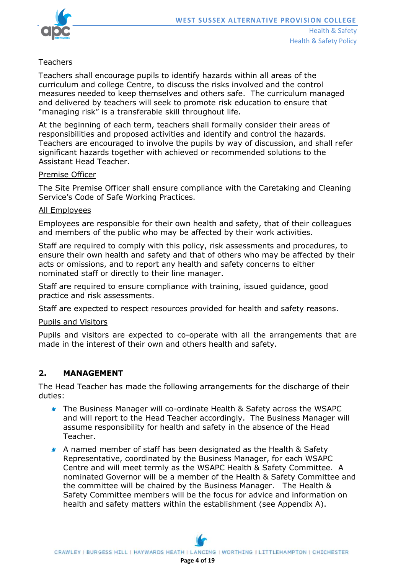

## **Teachers**

Teachers shall encourage pupils to identify hazards within all areas of the curriculum and college Centre, to discuss the risks involved and the control measures needed to keep themselves and others safe. The curriculum managed and delivered by teachers will seek to promote risk education to ensure that "managing risk" is a transferable skill throughout life.

At the beginning of each term, teachers shall formally consider their areas of responsibilities and proposed activities and identify and control the hazards. Teachers are encouraged to involve the pupils by way of discussion, and shall refer significant hazards together with achieved or recommended solutions to the Assistant Head Teacher.

#### Premise Officer

The Site Premise Officer shall ensure compliance with the Caretaking and Cleaning Service's Code of Safe Working Practices.

#### All Employees

Employees are responsible for their own health and safety, that of their colleagues and members of the public who may be affected by their work activities.

Staff are required to comply with this policy, risk assessments and procedures, to ensure their own health and safety and that of others who may be affected by their acts or omissions, and to report any health and safety concerns to either nominated staff or directly to their line manager.

Staff are required to ensure compliance with training, issued guidance, good practice and risk assessments.

Staff are expected to respect resources provided for health and safety reasons.

#### Pupils and Visitors

Pupils and visitors are expected to co-operate with all the arrangements that are made in the interest of their own and others health and safety.

## **2. MANAGEMENT**

The Head Teacher has made the following arrangements for the discharge of their duties:

- The Business Manager will co-ordinate Health & Safety across the WSAPC and will report to the Head Teacher accordingly. The Business Manager will assume responsibility for health and safety in the absence of the Head Teacher.
- A named member of staff has been designated as the Health & Safety Representative, coordinated by the Business Manager, for each WSAPC Centre and will meet termly as the WSAPC Health & Safety Committee. A nominated Governor will be a member of the Health & Safety Committee and the committee will be chaired by the Business Manager. The Health & Safety Committee members will be the focus for advice and information on health and safety matters within the establishment (see Appendix A).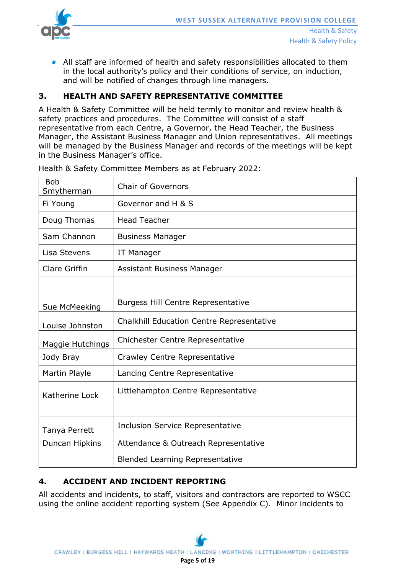

All staff are informed of health and safety responsibilities allocated to them in the local authority's policy and their conditions of service, on induction, and will be notified of changes through line managers.

# **3. HEALTH AND SAFETY REPRESENTATIVE COMMITTEE**

A Health & Safety Committee will be held termly to monitor and review health & safety practices and procedures. The Committee will consist of a staff representative from each Centre, a Governor, the Head Teacher, the Business Manager, the Assistant Business Manager and Union representatives. All meetings will be managed by the Business Manager and records of the meetings will be kept in the Business Manager's office.

| <b>Chair of Governors</b>                        |
|--------------------------------------------------|
| Governor and H & S                               |
| <b>Head Teacher</b>                              |
| <b>Business Manager</b>                          |
| IT Manager                                       |
| <b>Assistant Business Manager</b>                |
|                                                  |
| <b>Burgess Hill Centre Representative</b>        |
| <b>Chalkhill Education Centre Representative</b> |
| <b>Chichester Centre Representative</b>          |
| Crawley Centre Representative                    |
| Lancing Centre Representative                    |
| Littlehampton Centre Representative              |
|                                                  |
| <b>Inclusion Service Representative</b>          |
| Attendance & Outreach Representative             |
| <b>Blended Learning Representative</b>           |
|                                                  |

Health & Safety Committee Members as at February 2022:

# **4. ACCIDENT AND INCIDENT REPORTING**

All accidents and incidents, to staff, visitors and contractors are reported to WSCC using the online accident reporting system (See Appendix C). Minor incidents to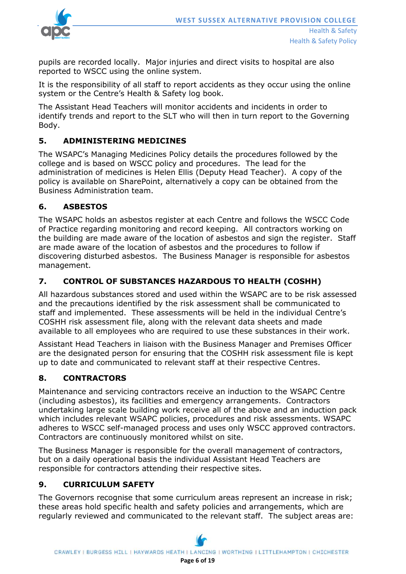

pupils are recorded locally. Major injuries and direct visits to hospital are also reported to WSCC using the online system.

It is the responsibility of all staff to report accidents as they occur using the online system or the Centre's Health & Safety log book.

The Assistant Head Teachers will monitor accidents and incidents in order to identify trends and report to the SLT who will then in turn report to the Governing Body.

# **5. ADMINISTERING MEDICINES**

The WSAPC's Managing Medicines Policy details the procedures followed by the college and is based on WSCC policy and procedures. The lead for the administration of medicines is Helen Ellis (Deputy Head Teacher). A copy of the policy is available on SharePoint, alternatively a copy can be obtained from the Business Administration team.

# **6. ASBESTOS**

The WSAPC holds an asbestos register at each Centre and follows the WSCC Code of Practice regarding monitoring and record keeping. All contractors working on the building are made aware of the location of asbestos and sign the register. Staff are made aware of the location of asbestos and the procedures to follow if discovering disturbed asbestos. The Business Manager is responsible for asbestos management.

# **7. CONTROL OF SUBSTANCES HAZARDOUS TO HEALTH (COSHH)**

All hazardous substances stored and used within the WSAPC are to be risk assessed and the precautions identified by the risk assessment shall be communicated to staff and implemented. These assessments will be held in the individual Centre's COSHH risk assessment file, along with the relevant data sheets and made available to all employees who are required to use these substances in their work.

Assistant Head Teachers in liaison with the Business Manager and Premises Officer are the designated person for ensuring that the COSHH risk assessment file is kept up to date and communicated to relevant staff at their respective Centres.

# **8. CONTRACTORS**

Maintenance and servicing contractors receive an induction to the WSAPC Centre (including asbestos), its facilities and emergency arrangements. Contractors undertaking large scale building work receive all of the above and an induction pack which includes relevant WSAPC policies, procedures and risk assessments. WSAPC adheres to WSCC self-managed process and uses only WSCC approved contractors. Contractors are continuously monitored whilst on site.

The Business Manager is responsible for the overall management of contractors, but on a daily operational basis the individual Assistant Head Teachers are responsible for contractors attending their respective sites.

# **9. CURRICULUM SAFETY**

The Governors recognise that some curriculum areas represent an increase in risk; these areas hold specific health and safety policies and arrangements, which are regularly reviewed and communicated to the relevant staff. The subject areas are: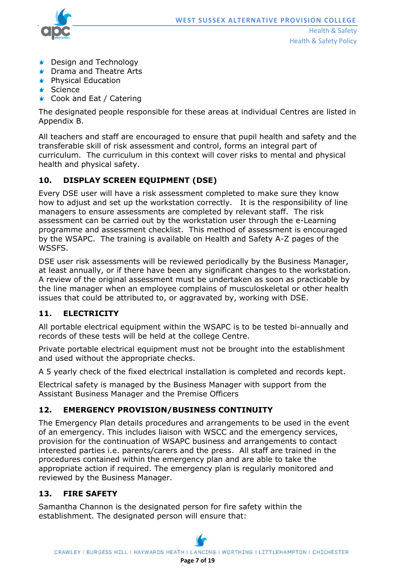

Health & Safety Health & Safety Policy

- **Contact Design and Technology**
- **Comma and Theatre Arts**
- **S** Physical Education
- **s** Science
- Cook and Eat / Catering

The designated people responsible for these areas at individual Centres are listed in Appendix B.

All teachers and staff are encouraged to ensure that pupil health and safety and the transferable skill of risk assessment and control, forms an integral part of curriculum. The curriculum in this context will cover risks to mental and physical health and physical safety.

# **10. DISPLAY SCREEN EQUIPMENT (DSE)**

Every DSE user will have a risk assessment completed to make sure they know how to adjust and set up the workstation correctly. It is the responsibility of line managers to ensure assessments are completed by relevant staff. The risk assessment can be carried out by the workstation user through the e-Learning programme and assessment checklist. This method of assessment is encouraged by the WSAPC. The training is available on Health and Safety A-Z pages of the WSSFS.

DSE user risk assessments will be reviewed periodically by the Business Manager, at least annually, or if there have been any significant changes to the workstation. A review of the original assessment must be undertaken as soon as practicable by the line manager when an employee complains of musculoskeletal or other health issues that could be attributed to, or aggravated by, working with DSE.

# **11. ELECTRICITY**

All portable electrical equipment within the WSAPC is to be tested bi-annually and records of these tests will be held at the college Centre.

Private portable electrical equipment must not be brought into the establishment and used without the appropriate checks.

A 5 yearly check of the fixed electrical installation is completed and records kept.

Electrical safety is managed by the Business Manager with support from the Assistant Business Manager and the Premise Officers

# **12. EMERGENCY PROVISION/BUSINESS CONTINUITY**

The Emergency Plan details procedures and arrangements to be used in the event of an emergency. This includes liaison with WSCC and the emergency services, provision for the continuation of WSAPC business and arrangements to contact interested parties i.e. parents/carers and the press. All staff are trained in the procedures contained within the emergency plan and are able to take the appropriate action if required. The emergency plan is regularly monitored and reviewed by the Business Manager.

# **13. FIRE SAFETY**

Samantha Channon is the designated person for fire safety within the establishment. The designated person will ensure that: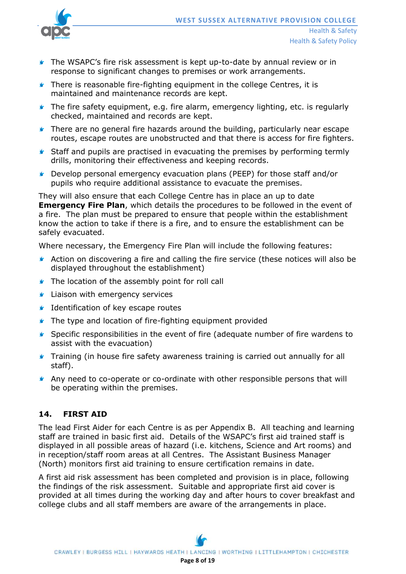

- **The WSAPC's fire risk assessment is kept up-to-date by annual review or in** response to significant changes to premises or work arrangements.
- **There is reasonable fire-fighting equipment in the college Centres, it is** maintained and maintenance records are kept.
- **The fire safety equipment, e.g. fire alarm, emergency lighting, etc. is regularly** checked, maintained and records are kept.
- **There are no general fire hazards around the building, particularly near escape** routes, escape routes are unobstructed and that there is access for fire fighters.
- **Staff and pupils are practised in evacuating the premises by performing termly** drills, monitoring their effectiveness and keeping records.
- Develop personal emergency evacuation plans (PEEP) for those staff and/or pupils who require additional assistance to evacuate the premises.

They will also ensure that each College Centre has in place an up to date **Emergency Fire Plan**, which details the procedures to be followed in the event of a fire. The plan must be prepared to ensure that people within the establishment know the action to take if there is a fire, and to ensure the establishment can be safely evacuated.

Where necessary, the Emergency Fire Plan will include the following features:

- Action on discovering a fire and calling the fire service (these notices will also be displayed throughout the establishment)
- **The location of the assembly point for roll call**
- **Liaison with emergency services**
- **If** Identification of key escape routes
- **The type and location of fire-fighting equipment provided**
- **Specific responsibilities in the event of fire (adequate number of fire wardens to** assist with the evacuation)
- **Training (in house fire safety awareness training is carried out annually for all** staff).
- **Any need to co-operate or co-ordinate with other responsible persons that will** be operating within the premises.

## **14. FIRST AID**

The lead First Aider for each Centre is as per Appendix B. All teaching and learning staff are trained in basic first aid. Details of the WSAPC's first aid trained staff is displayed in all possible areas of hazard (i.e. kitchens, Science and Art rooms) and in reception/staff room areas at all Centres. The Assistant Business Manager (North) monitors first aid training to ensure certification remains in date.

A first aid risk assessment has been completed and provision is in place, following the findings of the risk assessment. Suitable and appropriate first aid cover is provided at all times during the working day and after hours to cover breakfast and college clubs and all staff members are aware of the arrangements in place.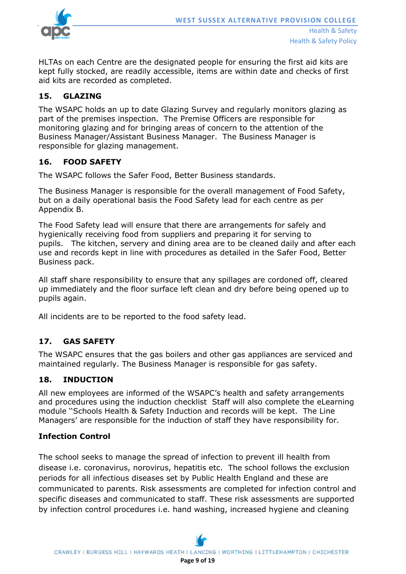

HLTAs on each Centre are the designated people for ensuring the first aid kits are kept fully stocked, are readily accessible, items are within date and checks of first aid kits are recorded as completed.

## **15. GLAZING**

The WSAPC holds an up to date Glazing Survey and regularly monitors glazing as part of the premises inspection. The Premise Officers are responsible for monitoring glazing and for bringing areas of concern to the attention of the Business Manager/Assistant Business Manager. The Business Manager is responsible for glazing management.

## **16. FOOD SAFETY**

The WSAPC follows the Safer Food, Better Business standards.

The Business Manager is responsible for the overall management of Food Safety, but on a daily operational basis the Food Safety lead for each centre as per Appendix B.

The Food Safety lead will ensure that there are arrangements for safely and hygienically receiving food from suppliers and preparing it for serving to pupils. The kitchen, servery and dining area are to be cleaned daily and after each use and records kept in line with procedures as detailed in the Safer Food, Better Business pack.

All staff share responsibility to ensure that any spillages are cordoned off, cleared up immediately and the floor surface left clean and dry before being opened up to pupils again.

All incidents are to be reported to the food safety lead.

## **17. GAS SAFETY**

The WSAPC ensures that the gas boilers and other gas appliances are serviced and maintained regularly. The Business Manager is responsible for gas safety.

## **18. INDUCTION**

All new employees are informed of the WSAPC's health and safety arrangements and procedures using the induction checklist Staff will also complete the eLearning module ''Schools Health & Safety Induction and records will be kept. The Line Managers' are responsible for the induction of staff they have responsibility for.

## **Infection Control**

The school seeks to manage the spread of infection to prevent ill health from disease i.e. coronavirus, norovirus, hepatitis etc. The school follows the exclusion periods for all infectious diseases set by Public Health England and these are communicated to parents. Risk assessments are completed for infection control and specific diseases and communicated to staff. These risk assessments are supported by infection control procedures i.e. hand washing, increased hygiene and cleaning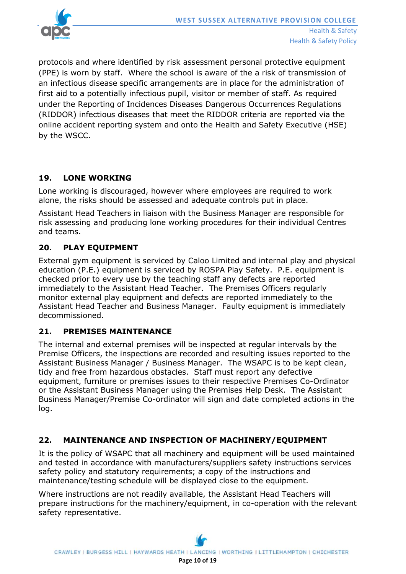

protocols and where identified by risk assessment personal protective equipment (PPE) is worn by staff. Where the school is aware of the a risk of transmission of an infectious disease specific arrangements are in place for the administration of first aid to a potentially infectious pupil, visitor or member of staff. As required under the Reporting of Incidences Diseases Dangerous Occurrences Regulations (RIDDOR) infectious diseases that meet the RIDDOR criteria are reported via the online accident reporting system and onto the Health and Safety Executive (HSE) by the WSCC.

# **19. LONE WORKING**

Lone working is discouraged, however where employees are required to work alone, the risks should be assessed and adequate controls put in place.

Assistant Head Teachers in liaison with the Business Manager are responsible for risk assessing and producing lone working procedures for their individual Centres and teams.

# **20. PLAY EQUIPMENT**

External gym equipment is serviced by Caloo Limited and internal play and physical education (P.E.) equipment is serviced by ROSPA Play Safety. P.E. equipment is checked prior to every use by the teaching staff any defects are reported immediately to the Assistant Head Teacher. The Premises Officers regularly monitor external play equipment and defects are reported immediately to the Assistant Head Teacher and Business Manager. Faulty equipment is immediately decommissioned.

# **21. PREMISES MAINTENANCE**

The internal and external premises will be inspected at regular intervals by the Premise Officers, the inspections are recorded and resulting issues reported to the Assistant Business Manager / Business Manager. The WSAPC is to be kept clean, tidy and free from hazardous obstacles. Staff must report any defective equipment, furniture or premises issues to their respective Premises Co-Ordinator or the Assistant Business Manager using the Premises Help Desk. The Assistant Business Manager/Premise Co-ordinator will sign and date completed actions in the log.

# **22. MAINTENANCE AND INSPECTION OF MACHINERY/EQUIPMENT**

It is the policy of WSAPC that all machinery and equipment will be used maintained and tested in accordance with manufacturers/suppliers safety instructions services safety policy and statutory requirements; a copy of the instructions and maintenance/testing schedule will be displayed close to the equipment.

Where instructions are not readily available, the Assistant Head Teachers will prepare instructions for the machinery/equipment, in co-operation with the relevant safety representative.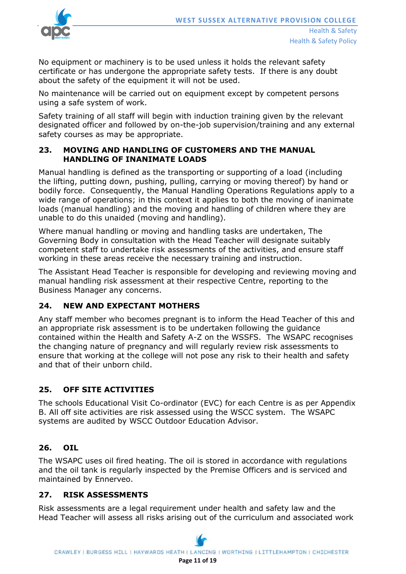

No equipment or machinery is to be used unless it holds the relevant safety certificate or has undergone the appropriate safety tests. If there is any doubt about the safety of the equipment it will not be used.

No maintenance will be carried out on equipment except by competent persons using a safe system of work.

Safety training of all staff will begin with induction training given by the relevant designated officer and followed by on-the-job supervision/training and any external safety courses as may be appropriate.

## **23. MOVING AND HANDLING OF CUSTOMERS AND THE MANUAL HANDLING OF INANIMATE LOADS**

Manual handling is defined as the transporting or supporting of a load (including the lifting, putting down, pushing, pulling, carrying or moving thereof) by hand or bodily force. Consequently, the Manual Handling Operations Regulations apply to a wide range of operations; in this context it applies to both the moving of inanimate loads (manual handling) and the moving and handling of children where they are unable to do this unaided (moving and handling).

Where manual handling or moving and handling tasks are undertaken, The Governing Body in consultation with the Head Teacher will designate suitably competent staff to undertake risk assessments of the activities, and ensure staff working in these areas receive the necessary training and instruction.

The Assistant Head Teacher is responsible for developing and reviewing moving and manual handling risk assessment at their respective Centre, reporting to the Business Manager any concerns.

# **24. NEW AND EXPECTANT MOTHERS**

Any staff member who becomes pregnant is to inform the Head Teacher of this and an appropriate risk assessment is to be undertaken following the guidance contained within the Health and Safety A-Z on the WSSFS. The WSAPC recognises the changing nature of pregnancy and will regularly review risk assessments to ensure that working at the college will not pose any risk to their health and safety and that of their unborn child.

## **25. OFF SITE ACTIVITIES**

The schools Educational Visit Co-ordinator (EVC) for each Centre is as per Appendix B. All off site activities are risk assessed using the WSCC system. The WSAPC systems are audited by WSCC Outdoor Education Advisor.

## **26. OIL**

The WSAPC uses oil fired heating. The oil is stored in accordance with regulations and the oil tank is regularly inspected by the Premise Officers and is serviced and maintained by Ennerveo.

## **27. RISK ASSESSMENTS**

Risk assessments are a legal requirement under health and safety law and the Head Teacher will assess all risks arising out of the curriculum and associated work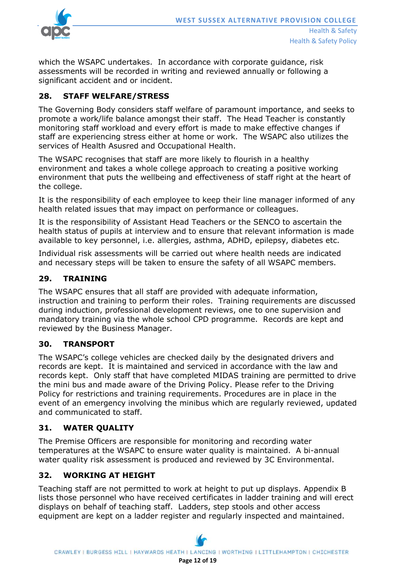

which the WSAPC undertakes. In accordance with corporate guidance, risk assessments will be recorded in writing and reviewed annually or following a significant accident and or incident.

# **28. STAFF WELFARE/STRESS**

The Governing Body considers staff welfare of paramount importance, and seeks to promote a work/life balance amongst their staff. The Head Teacher is constantly monitoring staff workload and every effort is made to make effective changes if staff are experiencing stress either at home or work. The WSAPC also utilizes the services of Health Asusred and Occupational Health.

The WSAPC recognises that staff are more likely to flourish in a healthy environment and takes a whole college approach to creating a positive working environment that puts the wellbeing and effectiveness of staff right at the heart of the college.

It is the responsibility of each employee to keep their line manager informed of any health related issues that may impact on performance or colleagues.

It is the responsibility of Assistant Head Teachers or the SENCO to ascertain the health status of pupils at interview and to ensure that relevant information is made available to key personnel, i.e. allergies, asthma, ADHD, epilepsy, diabetes etc.

Individual risk assessments will be carried out where health needs are indicated and necessary steps will be taken to ensure the safety of all WSAPC members.

## **29. TRAINING**

The WSAPC ensures that all staff are provided with adequate information, instruction and training to perform their roles. Training requirements are discussed during induction, professional development reviews, one to one supervision and mandatory training via the whole school CPD programme. Records are kept and reviewed by the Business Manager.

## **30. TRANSPORT**

The WSAPC's college vehicles are checked daily by the designated drivers and records are kept. It is maintained and serviced in accordance with the law and records kept. Only staff that have completed MIDAS training are permitted to drive the mini bus and made aware of the Driving Policy. Please refer to the Driving Policy for restrictions and training requirements. Procedures are in place in the event of an emergency involving the minibus which are regularly reviewed, updated and communicated to staff.

# **31. WATER QUALITY**

The Premise Officers are responsible for monitoring and recording water temperatures at the WSAPC to ensure water quality is maintained. A bi-annual water quality risk assessment is produced and reviewed by 3C Environmental.

# **32. WORKING AT HEIGHT**

Teaching staff are not permitted to work at height to put up displays. Appendix B lists those personnel who have received certificates in ladder training and will erect displays on behalf of teaching staff. Ladders, step stools and other access equipment are kept on a ladder register and regularly inspected and maintained.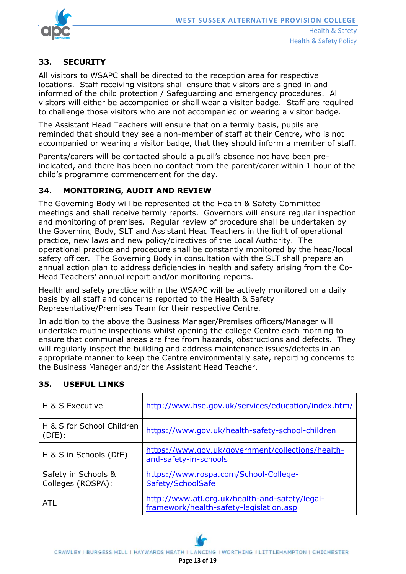

Health & Safety Policy

# **33. SECURITY**

All visitors to WSAPC shall be directed to the reception area for respective locations. Staff receiving visitors shall ensure that visitors are signed in and informed of the child protection / Safeguarding and emergency procedures. All visitors will either be accompanied or shall wear a visitor badge. Staff are required to challenge those visitors who are not accompanied or wearing a visitor badge.

The Assistant Head Teachers will ensure that on a termly basis, pupils are reminded that should they see a non-member of staff at their Centre, who is not accompanied or wearing a visitor badge, that they should inform a member of staff.

Parents/carers will be contacted should a pupil's absence not have been preindicated, and there has been no contact from the parent/carer within 1 hour of the child's programme commencement for the day.

## **34. MONITORING, AUDIT AND REVIEW**

The Governing Body will be represented at the Health & Safety Committee meetings and shall receive termly reports. Governors will ensure regular inspection and monitoring of premises. Regular review of procedure shall be undertaken by the Governing Body, SLT and Assistant Head Teachers in the light of operational practice, new laws and new policy/directives of the Local Authority. The operational practice and procedure shall be constantly monitored by the head/local safety officer. The Governing Body in consultation with the SLT shall prepare an annual action plan to address deficiencies in health and safety arising from the Co-Head Teachers' annual report and/or monitoring reports.

Health and safety practice within the WSAPC will be actively monitored on a daily basis by all staff and concerns reported to the Health & Safety Representative/Premises Team for their respective Centre.

In addition to the above the Business Manager/Premises officers/Manager will undertake routine inspections whilst opening the college Centre each morning to ensure that communal areas are free from hazards, obstructions and defects. They will regularly inspect the building and address maintenance issues/defects in an appropriate manner to keep the Centre environmentally safe, reporting concerns to the Business Manager and/or the Assistant Head Teacher.

| H & S Executive                          | http://www.hse.gov.uk/services/education/index.htm/                                       |
|------------------------------------------|-------------------------------------------------------------------------------------------|
| H & S for School Children<br>(DfE):      | https://www.gov.uk/health-safety-school-children                                          |
| H & S in Schools (DfE)                   | https://www.gov.uk/government/collections/health-<br>and-safety-in-schools                |
| Safety in Schools &<br>Colleges (ROSPA): | https://www.rospa.com/School-College-<br>Safety/SchoolSafe                                |
| ATI                                      | http://www.atl.org.uk/health-and-safety/legal-<br>framework/health-safety-legislation.asp |

# **35. USEFUL LINKS**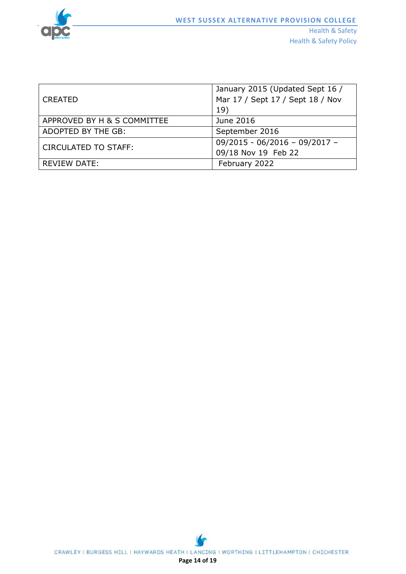

Health & Safety Policy

|                             | January 2015 (Updated Sept 16 /  |
|-----------------------------|----------------------------------|
| <b>CREATED</b>              | Mar 17 / Sept 17 / Sept 18 / Nov |
|                             | 19)                              |
| APPROVED BY H & S COMMITTEE | June 2016                        |
| ADOPTED BY THE GB:          | September 2016                   |
| <b>CIRCULATED TO STAFF:</b> | $09/2015 - 06/2016 - 09/2017 -$  |
|                             | 09/18 Nov 19 Feb 22              |
| <b>REVIEW DATE:</b>         | February 2022                    |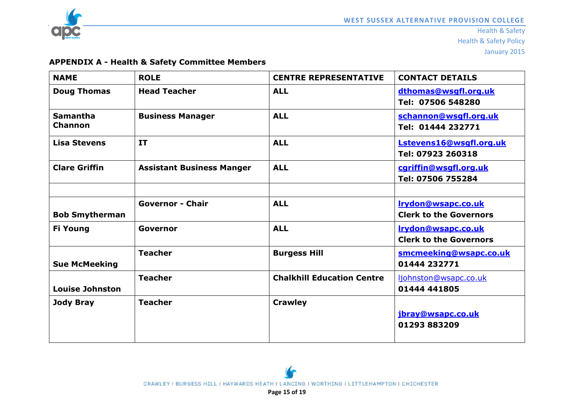

# **APPENDIX A - Health & Safety Committee Members**

| <b>NAME</b>                | <b>ROLE</b>                      | <b>CENTRE REPRESENTATIVE</b>      | <b>CONTACT DETAILS</b>                              |
|----------------------------|----------------------------------|-----------------------------------|-----------------------------------------------------|
| <b>Doug Thomas</b>         | <b>Head Teacher</b>              | <b>ALL</b>                        | dthomas@wsgfl.org.uk<br>Tel: 07506 548280           |
| <b>Samantha</b><br>Channon | <b>Business Manager</b>          | <b>ALL</b>                        | schannon@wsgfl.org.uk<br>Tel: 01444 232771          |
| <b>Lisa Stevens</b>        | IT                               | <b>ALL</b>                        | Lstevens16@wsgfl.org.uk<br>Tel: 07923 260318        |
| <b>Clare Griffin</b>       | <b>Assistant Business Manger</b> | <b>ALL</b>                        | cgriffin@wsgfl.org.uk<br>Tel: 07506 755284          |
|                            |                                  |                                   |                                                     |
| <b>Bob Smytherman</b>      | <b>Governor - Chair</b>          | <b>ALL</b>                        | Irydon@wsapc.co.uk<br><b>Clerk to the Governors</b> |
| <b>Fi Young</b>            | Governor                         | <b>ALL</b>                        | Irydon@wsapc.co.uk<br><b>Clerk to the Governors</b> |
| <b>Sue McMeeking</b>       | <b>Teacher</b>                   | <b>Burgess Hill</b>               | smcmeeking@wsapc.co.uk<br>01444 232771              |
| <b>Louise Johnston</b>     | <b>Teacher</b>                   | <b>Chalkhill Education Centre</b> | ljohnston@wsapc.co.uk<br>01444 441805               |
| <b>Jody Bray</b>           | <b>Teacher</b>                   | <b>Crawley</b>                    | jbray@wsapc.co.uk<br>01293883209                    |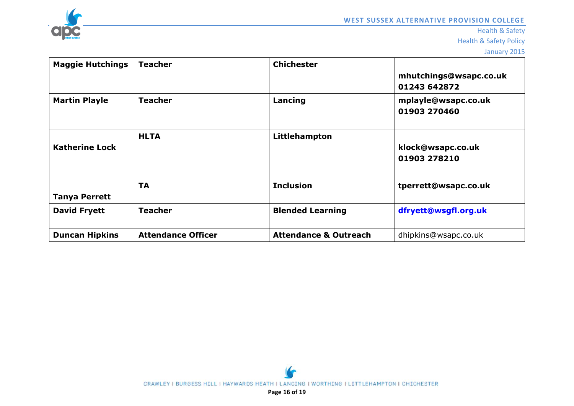

Health & Safety

Health & Safety Policy

January 2015

| <b>Maggie Hutchings</b> | <b>Teacher</b>            | <b>Chichester</b>                | mhutchings@wsapc.co.uk<br>01243 642872 |
|-------------------------|---------------------------|----------------------------------|----------------------------------------|
| <b>Martin Playle</b>    | <b>Teacher</b>            | Lancing                          | mplayle@wsapc.co.uk<br>01903 270460    |
| <b>Katherine Lock</b>   | <b>HLTA</b>               | Littlehampton                    | klock@wsapc.co.uk<br>01903 278210      |
| <b>Tanya Perrett</b>    | <b>TA</b>                 | <b>Inclusion</b>                 | tperrett@wsapc.co.uk                   |
| <b>David Fryett</b>     | <b>Teacher</b>            | <b>Blended Learning</b>          | dfryett@wsgfl.org.uk                   |
| <b>Duncan Hipkins</b>   | <b>Attendance Officer</b> | <b>Attendance &amp; Outreach</b> | dhipkins@wsapc.co.uk                   |

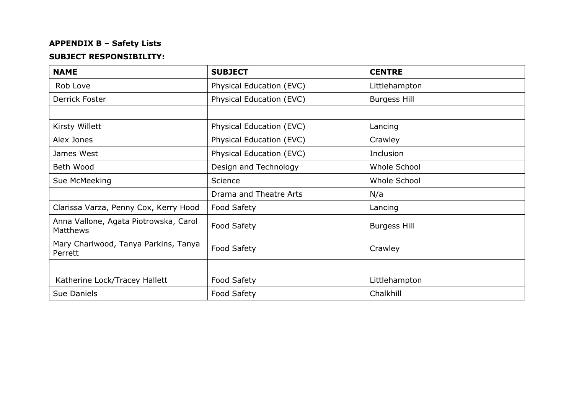# **APPENDIX B – Safety Lists**

## **SUBJECT RESPONSIBILITY:**

| <b>NAME</b>                                              | <b>SUBJECT</b>           | <b>CENTRE</b>       |
|----------------------------------------------------------|--------------------------|---------------------|
| Rob Love                                                 | Physical Education (EVC) | Littlehampton       |
| Derrick Foster                                           | Physical Education (EVC) | <b>Burgess Hill</b> |
|                                                          |                          |                     |
| Kirsty Willett                                           | Physical Education (EVC) | Lancing             |
| Alex Jones                                               | Physical Education (EVC) | Crawley             |
| James West                                               | Physical Education (EVC) | Inclusion           |
| Beth Wood                                                | Design and Technology    | Whole School        |
| Sue McMeeking                                            | Science                  | Whole School        |
|                                                          | Drama and Theatre Arts   | N/a                 |
| Clarissa Varza, Penny Cox, Kerry Hood                    | Food Safety              | Lancing             |
| Anna Vallone, Agata Piotrowska, Carol<br><b>Matthews</b> | Food Safety              | <b>Burgess Hill</b> |
| Mary Charlwood, Tanya Parkins, Tanya<br>Perrett          | Food Safety              | Crawley             |
|                                                          |                          |                     |
| Katherine Lock/Tracey Hallett                            | Food Safety              | Littlehampton       |
| Sue Daniels                                              | Food Safety              | Chalkhill           |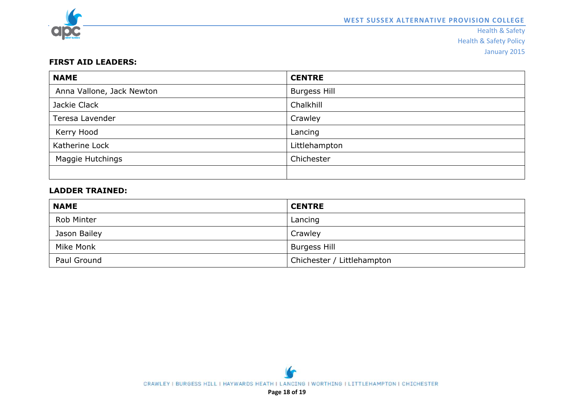

Health & Safety Health & Safety Policy January 2015

#### **FIRST AID LEADERS:**

| <b>NAME</b>               | <b>CENTRE</b>       |
|---------------------------|---------------------|
| Anna Vallone, Jack Newton | <b>Burgess Hill</b> |
| Jackie Clack              | Chalkhill           |
| Teresa Lavender           | Crawley             |
| Kerry Hood                | Lancing             |
| Katherine Lock            | Littlehampton       |
| Maggie Hutchings          | Chichester          |
|                           |                     |

## **LADDER TRAINED:**

| <b>NAME</b>       | <b>CENTRE</b>              |
|-------------------|----------------------------|
| <b>Rob Minter</b> | Lancing                    |
| Jason Bailey      | Crawley                    |
| Mike Monk         | <b>Burgess Hill</b>        |
| Paul Ground       | Chichester / Littlehampton |

**Page 18 of 19**